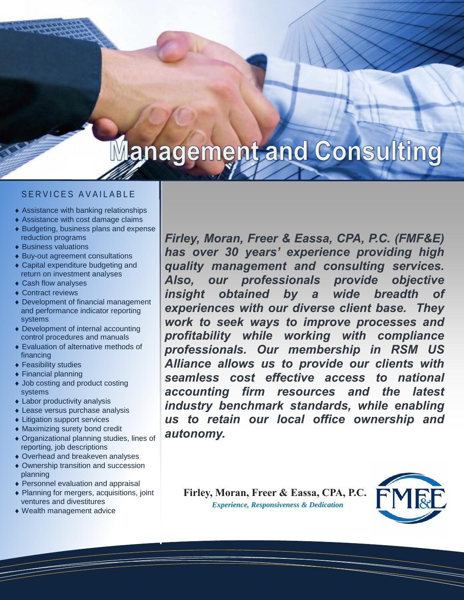# **Management and Consulting**

## S F R VIC F S A VAII A BI F

- Assistance with banking relationships
- Assistance with cost damage claims
- Budgeting, business plans and expense reduction programs
- Business valuations
- Buy-out agreement consultations
- Capital expenditure budgeting and return on investment analyses
- ◆ Cash flow analyses
- ◆ Contract reviews
- Development of financial management and performance indicator reporting systems
- Development of internal accounting control procedures and manuals
- Evaluation of alternative methods of financing
- ◆ Feasibility studies
- Financial planning
- Job costing and product costing systems
- Labor productivity analysis
- Lease versus purchase analysis
- Litigation support services
- Maximizing surety bond credit
- Organizational planning studies, lines of reporting, job descriptions
- Overhead and breakeven analyses
- Ownership transition and succession planning
- Personnel evaluation and appraisal
- ◆ Planning for mergers, acquisitions, joint ventures and divestitures
- Wealth management advice

*Firley, Moran, Freer & Eassa, CPA, P.C. (FMF&E) has over 30 years' experience providing high quality management and consulting services. Also, our professionals provide objective insight obtained by a wide breadth experiences with our diverse client base. They work to seek ways to improve processes and profitability while working with compliance professionals. Our membership in RSM US Alliance allows us to provide our clients with seamless cost effective access to national accounting firm resources and the latest industry benchmark standards, while enabling us to retain our local office ownership and autonomy.*

**Firley, Moran, Freer & Eassa, CPA, P.C.** *Experience, Responsiveness & Dedication*